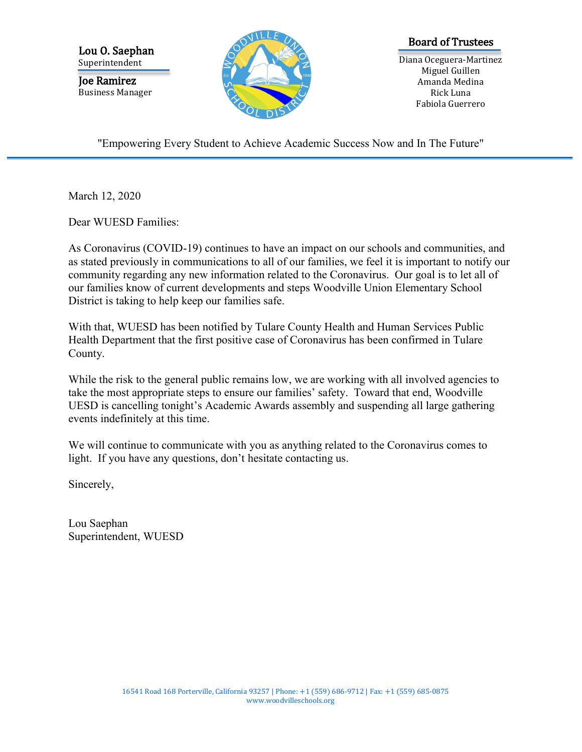Lou O. Saephan Superintendent

Joe Ramirez Business Manager



## Board of Trustees

Diana Oceguera-Martinez Miguel Guillen Amanda Medina Rick Luna Fabiola Guerrero

"Empowering Every Student to Achieve Academic Success Now and In The Future"

March 12, 2020

Dear WUESD Families:

As Coronavirus (COVID-19) continues to have an impact on our schools and communities, and as stated previously in communications to all of our families, we feel it is important to notify our community regarding any new information related to the Coronavirus. Our goal is to let all of our families know of current developments and steps Woodville Union Elementary School District is taking to help keep our families safe.

With that, WUESD has been notified by Tulare County Health and Human Services Public Health Department that the first positive case of Coronavirus has been confirmed in Tulare County.

While the risk to the general public remains low, we are working with all involved agencies to take the most appropriate steps to ensure our families' safety. Toward that end, Woodville UESD is cancelling tonight's Academic Awards assembly and suspending all large gathering events indefinitely at this time.

We will continue to communicate with you as anything related to the Coronavirus comes to light. If you have any questions, don't hesitate contacting us.

Sincerely,

Lou Saephan Superintendent, WUESD